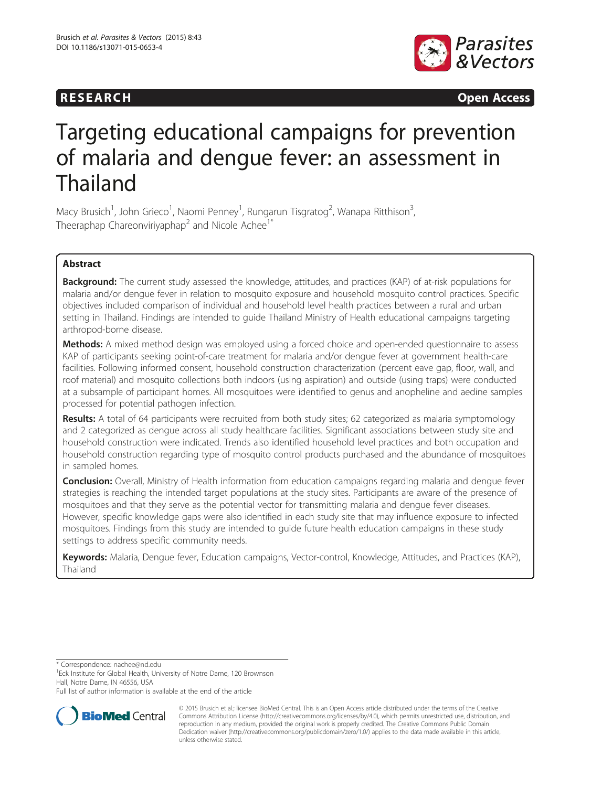

**RESEARCH RESEARCH CONSUMING ACCESS** 

# Targeting educational campaigns for prevention of malaria and dengue fever: an assessment in Thailand

Macy Brusich<sup>1</sup>, John Grieco<sup>1</sup>, Naomi Penney<sup>1</sup>, Rungarun Tisgratog<sup>2</sup>, Wanapa Ritthison<sup>3</sup> , Theeraphap Chareonviriyaphap<sup>2</sup> and Nicole Achee<sup>1\*</sup>

# Abstract

Background: The current study assessed the knowledge, attitudes, and practices (KAP) of at-risk populations for malaria and/or dengue fever in relation to mosquito exposure and household mosquito control practices. Specific objectives included comparison of individual and household level health practices between a rural and urban setting in Thailand. Findings are intended to guide Thailand Ministry of Health educational campaigns targeting arthropod-borne disease.

**Methods:** A mixed method design was employed using a forced choice and open-ended questionnaire to assess KAP of participants seeking point-of-care treatment for malaria and/or dengue fever at government health-care facilities. Following informed consent, household construction characterization (percent eave gap, floor, wall, and roof material) and mosquito collections both indoors (using aspiration) and outside (using traps) were conducted at a subsample of participant homes. All mosquitoes were identified to genus and anopheline and aedine samples processed for potential pathogen infection.

Results: A total of 64 participants were recruited from both study sites; 62 categorized as malaria symptomology and 2 categorized as dengue across all study healthcare facilities. Significant associations between study site and household construction were indicated. Trends also identified household level practices and both occupation and household construction regarding type of mosquito control products purchased and the abundance of mosquitoes in sampled homes.

**Conclusion:** Overall, Ministry of Health information from education campaigns regarding malaria and dengue fever strategies is reaching the intended target populations at the study sites. Participants are aware of the presence of mosquitoes and that they serve as the potential vector for transmitting malaria and dengue fever diseases. However, specific knowledge gaps were also identified in each study site that may influence exposure to infected mosquitoes. Findings from this study are intended to guide future health education campaigns in these study settings to address specific community needs.

Keywords: Malaria, Dengue fever, Education campaigns, Vector-control, Knowledge, Attitudes, and Practices (KAP), Thailand

\* Correspondence: [nachee@nd.edu](mailto:nachee@nd.edu) <sup>1</sup>

<sup>1</sup> Eck Institute for Global Health, University of Notre Dame, 120 Brownson Hall, Notre Dame, IN 46556, USA

Full list of author information is available at the end of the article



<sup>© 2015</sup> Brusich et al.; licensee BioMed Central. This is an Open Access article distributed under the terms of the Creative Commons Attribution License [\(http://creativecommons.org/licenses/by/4.0\)](http://creativecommons.org/licenses/by/4.0), which permits unrestricted use, distribution, and reproduction in any medium, provided the original work is properly credited. The Creative Commons Public Domain Dedication waiver [\(http://creativecommons.org/publicdomain/zero/1.0/](http://creativecommons.org/publicdomain/zero/1.0/)) applies to the data made available in this article, unless otherwise stated.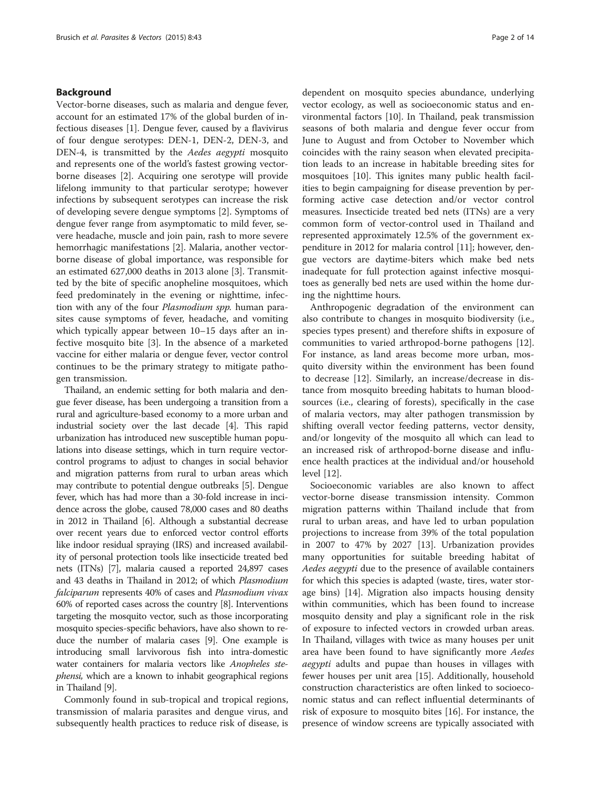#### Background

Vector-borne diseases, such as malaria and dengue fever, account for an estimated 17% of the global burden of infectious diseases [\[1](#page-13-0)]. Dengue fever, caused by a flavivirus of four dengue serotypes: DEN-1, DEN-2, DEN-3, and DEN-4, is transmitted by the Aedes aegypti mosquito and represents one of the world's fastest growing vectorborne diseases [\[2](#page-13-0)]. Acquiring one serotype will provide lifelong immunity to that particular serotype; however infections by subsequent serotypes can increase the risk of developing severe dengue symptoms [\[2](#page-13-0)]. Symptoms of dengue fever range from asymptomatic to mild fever, severe headache, muscle and join pain, rash to more severe hemorrhagic manifestations [\[2\]](#page-13-0). Malaria, another vectorborne disease of global importance, was responsible for an estimated 627,000 deaths in 2013 alone [\[3](#page-13-0)]. Transmitted by the bite of specific anopheline mosquitoes, which feed predominately in the evening or nighttime, infection with any of the four *Plasmodium spp*. human parasites cause symptoms of fever, headache, and vomiting which typically appear between 10–15 days after an infective mosquito bite [[3\]](#page-13-0). In the absence of a marketed vaccine for either malaria or dengue fever, vector control continues to be the primary strategy to mitigate pathogen transmission.

Thailand, an endemic setting for both malaria and dengue fever disease, has been undergoing a transition from a rural and agriculture-based economy to a more urban and industrial society over the last decade [[4](#page-13-0)]. This rapid urbanization has introduced new susceptible human populations into disease settings, which in turn require vectorcontrol programs to adjust to changes in social behavior and migration patterns from rural to urban areas which may contribute to potential dengue outbreaks [[5\]](#page-13-0). Dengue fever, which has had more than a 30-fold increase in incidence across the globe, caused 78,000 cases and 80 deaths in 2012 in Thailand [\[6](#page-13-0)]. Although a substantial decrease over recent years due to enforced vector control efforts like indoor residual spraying (IRS) and increased availability of personal protection tools like insecticide treated bed nets (ITNs) [\[7\]](#page-13-0), malaria caused a reported 24,897 cases and 43 deaths in Thailand in 2012; of which Plasmodium falciparum represents 40% of cases and Plasmodium vivax 60% of reported cases across the country [\[8\]](#page-13-0). Interventions targeting the mosquito vector, such as those incorporating mosquito species-specific behaviors, have also shown to reduce the number of malaria cases [\[9](#page-13-0)]. One example is introducing small larvivorous fish into intra-domestic water containers for malaria vectors like Anopheles stephensi, which are a known to inhabit geographical regions in Thailand [[9\]](#page-13-0).

Commonly found in sub-tropical and tropical regions, transmission of malaria parasites and dengue virus, and subsequently health practices to reduce risk of disease, is

dependent on mosquito species abundance, underlying vector ecology, as well as socioeconomic status and environmental factors [[10](#page-13-0)]. In Thailand, peak transmission seasons of both malaria and dengue fever occur from June to August and from October to November which coincides with the rainy season when elevated precipitation leads to an increase in habitable breeding sites for mosquitoes [[10\]](#page-13-0). This ignites many public health facilities to begin campaigning for disease prevention by performing active case detection and/or vector control measures. Insecticide treated bed nets (ITNs) are a very common form of vector-control used in Thailand and represented approximately 12.5% of the government expenditure in 2012 for malaria control [\[11](#page-13-0)]; however, dengue vectors are daytime-biters which make bed nets inadequate for full protection against infective mosquitoes as generally bed nets are used within the home during the nighttime hours.

Anthropogenic degradation of the environment can also contribute to changes in mosquito biodiversity (i.e., species types present) and therefore shifts in exposure of communities to varied arthropod-borne pathogens [\[12](#page-13-0)]. For instance, as land areas become more urban, mosquito diversity within the environment has been found to decrease [[12](#page-13-0)]. Similarly, an increase/decrease in distance from mosquito breeding habitats to human bloodsources (i.e., clearing of forests), specifically in the case of malaria vectors, may alter pathogen transmission by shifting overall vector feeding patterns, vector density, and/or longevity of the mosquito all which can lead to an increased risk of arthropod-borne disease and influence health practices at the individual and/or household level [\[12](#page-13-0)].

Socioeconomic variables are also known to affect vector-borne disease transmission intensity. Common migration patterns within Thailand include that from rural to urban areas, and have led to urban population projections to increase from 39% of the total population in 2007 to 47% by 2027 [\[13\]](#page-13-0). Urbanization provides many opportunities for suitable breeding habitat of Aedes aegypti due to the presence of available containers for which this species is adapted (waste, tires, water storage bins) [[14\]](#page-13-0). Migration also impacts housing density within communities, which has been found to increase mosquito density and play a significant role in the risk of exposure to infected vectors in crowded urban areas. In Thailand, villages with twice as many houses per unit area have been found to have significantly more Aedes aegypti adults and pupae than houses in villages with fewer houses per unit area [\[15\]](#page-13-0). Additionally, household construction characteristics are often linked to socioeconomic status and can reflect influential determinants of risk of exposure to mosquito bites [[16\]](#page-13-0). For instance, the presence of window screens are typically associated with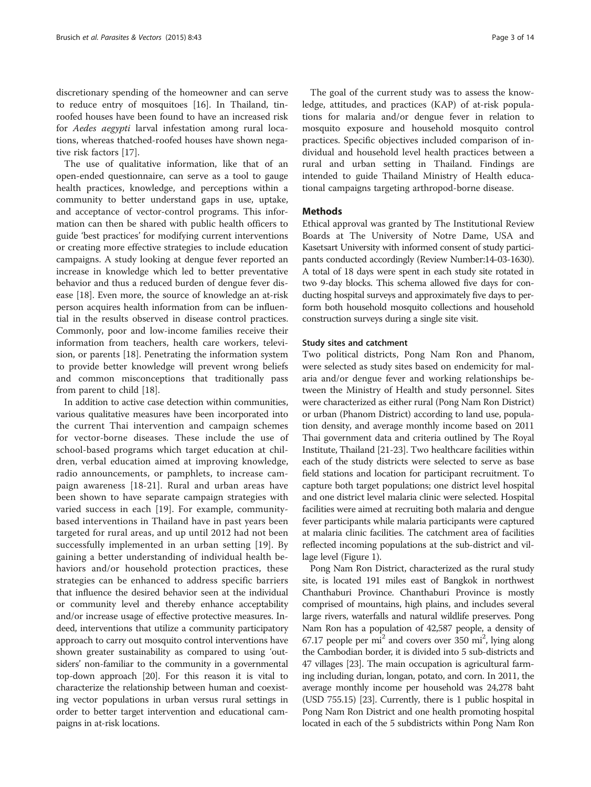discretionary spending of the homeowner and can serve to reduce entry of mosquitoes [[16](#page-13-0)]. In Thailand, tinroofed houses have been found to have an increased risk for Aedes aegypti larval infestation among rural locations, whereas thatched-roofed houses have shown negative risk factors [[17](#page-13-0)].

The use of qualitative information, like that of an open-ended questionnaire, can serve as a tool to gauge health practices, knowledge, and perceptions within a community to better understand gaps in use, uptake, and acceptance of vector-control programs. This information can then be shared with public health officers to guide 'best practices' for modifying current interventions or creating more effective strategies to include education campaigns. A study looking at dengue fever reported an increase in knowledge which led to better preventative behavior and thus a reduced burden of dengue fever disease [\[18\]](#page-13-0). Even more, the source of knowledge an at-risk person acquires health information from can be influential in the results observed in disease control practices. Commonly, poor and low-income families receive their information from teachers, health care workers, television, or parents [\[18\]](#page-13-0). Penetrating the information system to provide better knowledge will prevent wrong beliefs and common misconceptions that traditionally pass from parent to child [\[18\]](#page-13-0).

In addition to active case detection within communities, various qualitative measures have been incorporated into the current Thai intervention and campaign schemes for vector-borne diseases. These include the use of school-based programs which target education at children, verbal education aimed at improving knowledge, radio announcements, or pamphlets, to increase campaign awareness [[18-21](#page-13-0)]. Rural and urban areas have been shown to have separate campaign strategies with varied success in each [[19\]](#page-13-0). For example, communitybased interventions in Thailand have in past years been targeted for rural areas, and up until 2012 had not been successfully implemented in an urban setting [\[19](#page-13-0)]. By gaining a better understanding of individual health behaviors and/or household protection practices, these strategies can be enhanced to address specific barriers that influence the desired behavior seen at the individual or community level and thereby enhance acceptability and/or increase usage of effective protective measures. Indeed, interventions that utilize a community participatory approach to carry out mosquito control interventions have shown greater sustainability as compared to using 'outsiders' non-familiar to the community in a governmental top-down approach [[20](#page-13-0)]. For this reason it is vital to characterize the relationship between human and coexisting vector populations in urban versus rural settings in order to better target intervention and educational campaigns in at-risk locations.

The goal of the current study was to assess the knowledge, attitudes, and practices (KAP) of at-risk populations for malaria and/or dengue fever in relation to mosquito exposure and household mosquito control practices. Specific objectives included comparison of individual and household level health practices between a rural and urban setting in Thailand. Findings are intended to guide Thailand Ministry of Health educational campaigns targeting arthropod-borne disease.

# Methods

Ethical approval was granted by The Institutional Review Boards at The University of Notre Dame, USA and Kasetsart University with informed consent of study participants conducted accordingly (Review Number:14-03-1630). A total of 18 days were spent in each study site rotated in two 9-day blocks. This schema allowed five days for conducting hospital surveys and approximately five days to perform both household mosquito collections and household construction surveys during a single site visit.

#### Study sites and catchment

Two political districts, Pong Nam Ron and Phanom, were selected as study sites based on endemicity for malaria and/or dengue fever and working relationships between the Ministry of Health and study personnel. Sites were characterized as either rural (Pong Nam Ron District) or urban (Phanom District) according to land use, population density, and average monthly income based on 2011 Thai government data and criteria outlined by The Royal Institute, Thailand [\[21](#page-13-0)-[23](#page-13-0)]. Two healthcare facilities within each of the study districts were selected to serve as base field stations and location for participant recruitment. To capture both target populations; one district level hospital and one district level malaria clinic were selected. Hospital facilities were aimed at recruiting both malaria and dengue fever participants while malaria participants were captured at malaria clinic facilities. The catchment area of facilities reflected incoming populations at the sub-district and village level (Figure [1](#page-3-0)).

Pong Nam Ron District, characterized as the rural study site, is located 191 miles east of Bangkok in northwest Chanthaburi Province. Chanthaburi Province is mostly comprised of mountains, high plains, and includes several large rivers, waterfalls and natural wildlife preserves. Pong Nam Ron has a population of 42,587 people, a density of 67.17 people per  $mi^2$  and covers over 350  $mi^2$ , lying along the Cambodian border, it is divided into 5 sub-districts and 47 villages [\[23\]](#page-13-0). The main occupation is agricultural farming including durian, longan, potato, and corn. In 2011, the average monthly income per household was 24,278 baht (USD 755.15) [\[23\]](#page-13-0). Currently, there is 1 public hospital in Pong Nam Ron District and one health promoting hospital located in each of the 5 subdistricts within Pong Nam Ron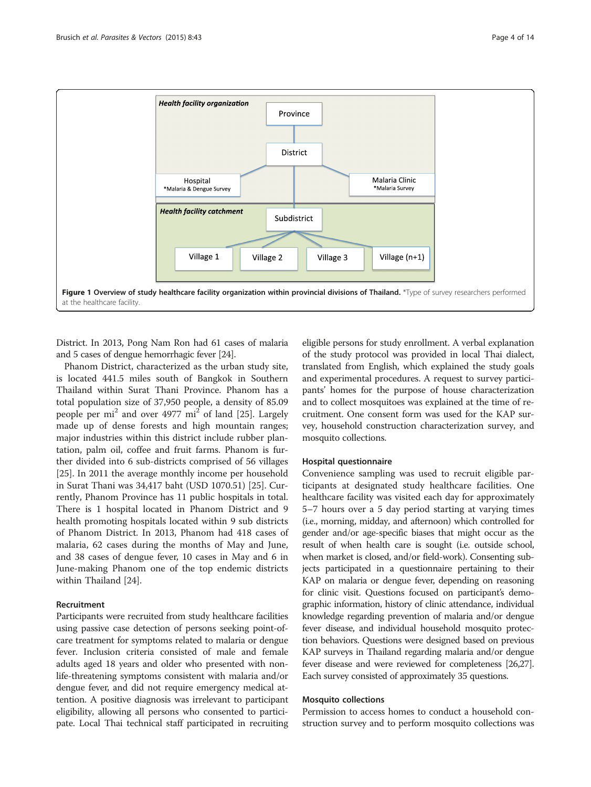<span id="page-3-0"></span>

District. In 2013, Pong Nam Ron had 61 cases of malaria and 5 cases of dengue hemorrhagic fever [\[24\]](#page-13-0).

Phanom District, characterized as the urban study site, is located 441.5 miles south of Bangkok in Southern Thailand within Surat Thani Province. Phanom has a total population size of 37,950 people, a density of 85.09 people per  $mi^2$  and over 4977  $mi^2$  of land [[25](#page-13-0)]. Largely made up of dense forests and high mountain ranges; major industries within this district include rubber plantation, palm oil, coffee and fruit farms. Phanom is further divided into 6 sub-districts comprised of 56 villages [[25\]](#page-13-0). In 2011 the average monthly income per household in Surat Thani was 34,417 baht (USD 1070.51) [[25](#page-13-0)]. Currently, Phanom Province has 11 public hospitals in total. There is 1 hospital located in Phanom District and 9 health promoting hospitals located within 9 sub districts of Phanom District. In 2013, Phanom had 418 cases of malaria, 62 cases during the months of May and June, and 38 cases of dengue fever, 10 cases in May and 6 in June-making Phanom one of the top endemic districts within Thailand [[24\]](#page-13-0).

#### Recruitment

Participants were recruited from study healthcare facilities using passive case detection of persons seeking point-ofcare treatment for symptoms related to malaria or dengue fever. Inclusion criteria consisted of male and female adults aged 18 years and older who presented with nonlife-threatening symptoms consistent with malaria and/or dengue fever, and did not require emergency medical attention. A positive diagnosis was irrelevant to participant eligibility, allowing all persons who consented to participate. Local Thai technical staff participated in recruiting

eligible persons for study enrollment. A verbal explanation of the study protocol was provided in local Thai dialect, translated from English, which explained the study goals and experimental procedures. A request to survey participants' homes for the purpose of house characterization and to collect mosquitoes was explained at the time of recruitment. One consent form was used for the KAP survey, household construction characterization survey, and mosquito collections.

# Hospital questionnaire

Convenience sampling was used to recruit eligible participants at designated study healthcare facilities. One healthcare facility was visited each day for approximately 5–7 hours over a 5 day period starting at varying times (i.e., morning, midday, and afternoon) which controlled for gender and/or age-specific biases that might occur as the result of when health care is sought (i.e. outside school, when market is closed, and/or field-work). Consenting subjects participated in a questionnaire pertaining to their KAP on malaria or dengue fever, depending on reasoning for clinic visit. Questions focused on participant's demographic information, history of clinic attendance, individual knowledge regarding prevention of malaria and/or dengue fever disease, and individual household mosquito protection behaviors. Questions were designed based on previous KAP surveys in Thailand regarding malaria and/or dengue fever disease and were reviewed for completeness [[26,27](#page-13-0)]. Each survey consisted of approximately 35 questions.

#### Mosquito collections

Permission to access homes to conduct a household construction survey and to perform mosquito collections was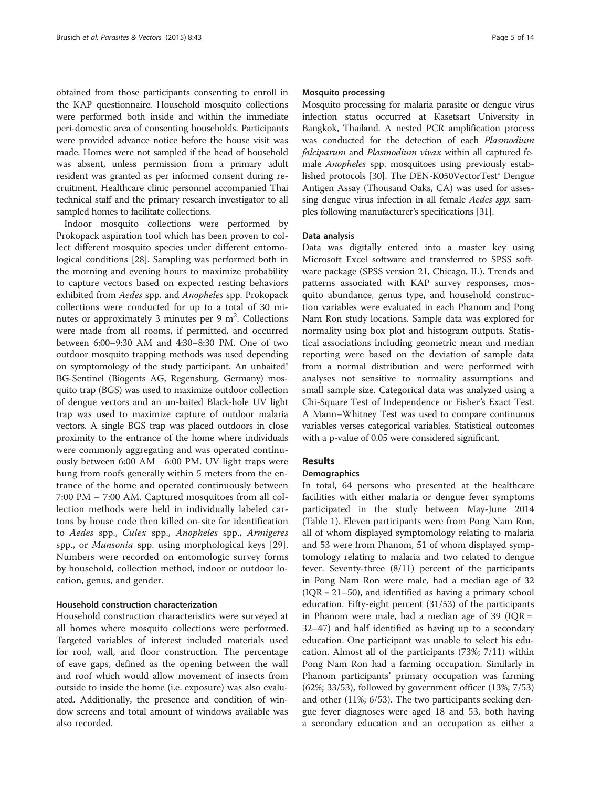obtained from those participants consenting to enroll in the KAP questionnaire. Household mosquito collections were performed both inside and within the immediate peri-domestic area of consenting households. Participants were provided advance notice before the house visit was made. Homes were not sampled if the head of household was absent, unless permission from a primary adult resident was granted as per informed consent during recruitment. Healthcare clinic personnel accompanied Thai technical staff and the primary research investigator to all sampled homes to facilitate collections.

Indoor mosquito collections were performed by Prokopack aspiration tool which has been proven to collect different mosquito species under different entomological conditions [[28\]](#page-13-0). Sampling was performed both in the morning and evening hours to maximize probability to capture vectors based on expected resting behaviors exhibited from Aedes spp. and Anopheles spp. Prokopack collections were conducted for up to a total of 30 minutes or approximately 3 minutes per 9 m<sup>2</sup>. Collections were made from all rooms, if permitted, and occurred between 6:00–9:30 AM and 4:30–8:30 PM. One of two outdoor mosquito trapping methods was used depending on symptomology of the study participant. An unbaited<sup>®</sup> BG-Sentinel (Biogents AG, Regensburg, Germany) mosquito trap (BGS) was used to maximize outdoor collection of dengue vectors and an un-baited Black-hole UV light trap was used to maximize capture of outdoor malaria vectors. A single BGS trap was placed outdoors in close proximity to the entrance of the home where individuals were commonly aggregating and was operated continuously between 6:00 AM −6:00 PM. UV light traps were hung from roofs generally within 5 meters from the entrance of the home and operated continuously between 7:00 PM – 7:00 AM. Captured mosquitoes from all collection methods were held in individually labeled cartons by house code then killed on-site for identification to Aedes spp., Culex spp., Anopheles spp., Armigeres spp., or Mansonia spp. using morphological keys [[29](#page-13-0)]. Numbers were recorded on entomologic survey forms by household, collection method, indoor or outdoor location, genus, and gender.

#### Household construction characterization

Household construction characteristics were surveyed at all homes where mosquito collections were performed. Targeted variables of interest included materials used for roof, wall, and floor construction. The percentage of eave gaps, defined as the opening between the wall and roof which would allow movement of insects from outside to inside the home (i.e. exposure) was also evaluated. Additionally, the presence and condition of window screens and total amount of windows available was also recorded.

#### Mosquito processing

Mosquito processing for malaria parasite or dengue virus infection status occurred at Kasetsart University in Bangkok, Thailand. A nested PCR amplification process was conducted for the detection of each Plasmodium falciparum and Plasmodium vivax within all captured female Anopheles spp. mosquitoes using previously estab-lished protocols [\[30\]](#page-13-0). The DEN-K050VectorTest<sup>®</sup> Dengue Antigen Assay (Thousand Oaks, CA) was used for assessing dengue virus infection in all female Aedes spp. samples following manufacturer's specifications [\[31\]](#page-13-0).

#### Data analysis

Data was digitally entered into a master key using Microsoft Excel software and transferred to SPSS software package (SPSS version 21, Chicago, IL). Trends and patterns associated with KAP survey responses, mosquito abundance, genus type, and household construction variables were evaluated in each Phanom and Pong Nam Ron study locations. Sample data was explored for normality using box plot and histogram outputs. Statistical associations including geometric mean and median reporting were based on the deviation of sample data from a normal distribution and were performed with analyses not sensitive to normality assumptions and small sample size. Categorical data was analyzed using a Chi-Square Test of Independence or Fisher's Exact Test. A Mann–Whitney Test was used to compare continuous variables verses categorical variables. Statistical outcomes with a p-value of 0.05 were considered significant.

# Results

# Demographics

In total, 64 persons who presented at the healthcare facilities with either malaria or dengue fever symptoms participated in the study between May-June 2014 (Table [1](#page-5-0)). Eleven participants were from Pong Nam Ron, all of whom displayed symptomology relating to malaria and 53 were from Phanom, 51 of whom displayed symptomology relating to malaria and two related to dengue fever. Seventy-three (8/11) percent of the participants in Pong Nam Ron were male, had a median age of 32  $(IQR = 21-50)$ , and identified as having a primary school education. Fifty-eight percent (31/53) of the participants in Phanom were male, had a median age of 39 ( $IQR =$ 32–47) and half identified as having up to a secondary education. One participant was unable to select his education. Almost all of the participants (73%; 7/11) within Pong Nam Ron had a farming occupation. Similarly in Phanom participants' primary occupation was farming (62%; 33/53), followed by government officer (13%; 7/53) and other (11%; 6/53). The two participants seeking dengue fever diagnoses were aged 18 and 53, both having a secondary education and an occupation as either a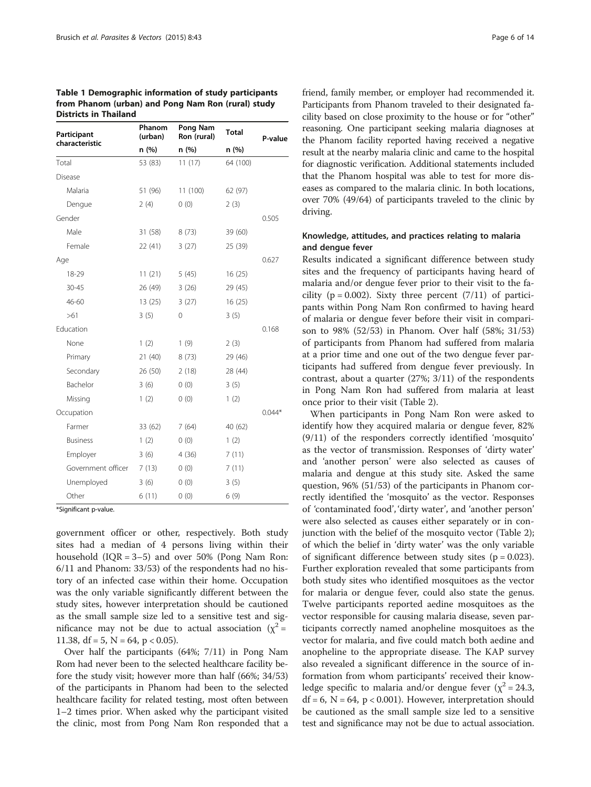| <b>Districts in Thailand</b>  |                   |                         |          |          |  |
|-------------------------------|-------------------|-------------------------|----------|----------|--|
| Participant<br>characteristic | Phanom<br>(urban) | Pong Nam<br>Ron (rural) | Total    | P-value  |  |
|                               | n (%)             | n (%)                   | n (%)    |          |  |
| Total                         | 53 (83)           | 11(17)                  | 64 (100) |          |  |
| Disease                       |                   |                         |          |          |  |
| Malaria                       | 51 (96)           | 11(100)                 | 62 (97)  |          |  |
| Dengue                        | 2(4)              | 0(0)                    | 2(3)     |          |  |
| Gender                        |                   |                         |          | 0.505    |  |
| Male                          | 31 (58)           | 8(73)                   | 39 (60)  |          |  |
| Female                        | 22 (41)           | 3(27)                   | 25 (39)  |          |  |
| Age                           |                   |                         |          | 0.627    |  |
| 18-29                         | 11(21)            | 5(45)                   | 16(25)   |          |  |
| $30 - 45$                     | 26 (49)           | 3(26)                   | 29 (45)  |          |  |
| 46-60                         | 13(25)            | 3(27)                   | 16(25)   |          |  |
| >61                           | 3(5)              | 0                       | 3(5)     |          |  |
| Education                     |                   |                         |          | 0.168    |  |
| None                          | 1(2)              | 1(9)                    | 2(3)     |          |  |
| Primary                       | 21(40)            | 8(73)                   | 29 (46)  |          |  |
| Secondary                     | 26 (50)           | 2(18)                   | 28 (44)  |          |  |
| Bachelor                      | 3(6)              | 0(0)                    | 3(5)     |          |  |
| Missing                       | 1(2)              | 0(0)                    | 1(2)     |          |  |
| Occupation                    |                   |                         |          | $0.044*$ |  |
| Farmer                        | 33 (62)           | 7(64)                   | 40 (62)  |          |  |
| <b>Business</b>               | 1(2)              | 0(0)                    | 1(2)     |          |  |
| Employer                      | 3(6)              | 4(36)                   | 7(11)    |          |  |
| Government officer            | 7(13)             | 0(0)                    | 7(11)    |          |  |
| Unemployed                    | 3(6)              | 0(0)                    | 3(5)     |          |  |
| Other                         | 6(11)             | 0(0)                    | 6(9)     |          |  |

<span id="page-5-0"></span>Table 1 Demographic information of study participants from Phanom (urban) and Pong Nam Ron (rural) study

\*Significant p-value.

government officer or other, respectively. Both study sites had a median of 4 persons living within their household  $(IQR = 3-5)$  and over 50% (Pong Nam Ron: 6/11 and Phanom: 33/53) of the respondents had no history of an infected case within their home. Occupation was the only variable significantly different between the study sites, however interpretation should be cautioned as the small sample size led to a sensitive test and significance may not be due to actual association ( $\chi^2$  = 11.38, df = 5,  $N = 64$ ,  $p < 0.05$ ).

Over half the participants (64%; 7/11) in Pong Nam Rom had never been to the selected healthcare facility before the study visit; however more than half (66%; 34/53) of the participants in Phanom had been to the selected healthcare facility for related testing, most often between 1–2 times prior. When asked why the participant visited the clinic, most from Pong Nam Ron responded that a

friend, family member, or employer had recommended it. Participants from Phanom traveled to their designated facility based on close proximity to the house or for "other" reasoning. One participant seeking malaria diagnoses at the Phanom facility reported having received a negative result at the nearby malaria clinic and came to the hospital for diagnostic verification. Additional statements included that the Phanom hospital was able to test for more diseases as compared to the malaria clinic. In both locations, over 70% (49/64) of participants traveled to the clinic by driving.

# Knowledge, attitudes, and practices relating to malaria and dengue fever

Results indicated a significant difference between study sites and the frequency of participants having heard of malaria and/or dengue fever prior to their visit to the facility ( $p = 0.002$ ). Sixty three percent (7/11) of participants within Pong Nam Ron confirmed to having heard of malaria or dengue fever before their visit in comparison to 98% (52/53) in Phanom. Over half (58%; 31/53) of participants from Phanom had suffered from malaria at a prior time and one out of the two dengue fever participants had suffered from dengue fever previously. In contrast, about a quarter (27%; 3/11) of the respondents in Pong Nam Ron had suffered from malaria at least once prior to their visit (Table [2](#page-6-0)).

When participants in Pong Nam Ron were asked to identify how they acquired malaria or dengue fever, 82% (9/11) of the responders correctly identified 'mosquito' as the vector of transmission. Responses of 'dirty water' and 'another person' were also selected as causes of malaria and dengue at this study site. Asked the same question, 96% (51/53) of the participants in Phanom correctly identified the 'mosquito' as the vector. Responses of 'contaminated food', 'dirty water', and 'another person' were also selected as causes either separately or in conjunction with the belief of the mosquito vector (Table [2](#page-6-0)); of which the belief in 'dirty water' was the only variable of significant difference between study sites ( $p = 0.023$ ). Further exploration revealed that some participants from both study sites who identified mosquitoes as the vector for malaria or dengue fever, could also state the genus. Twelve participants reported aedine mosquitoes as the vector responsible for causing malaria disease, seven participants correctly named anopheline mosquitoes as the vector for malaria, and five could match both aedine and anopheline to the appropriate disease. The KAP survey also revealed a significant difference in the source of information from whom participants' received their knowledge specific to malaria and/or dengue fever ( $\chi^2$  = 24.3,  $df = 6$ ,  $N = 64$ ,  $p < 0.001$ ). However, interpretation should be cautioned as the small sample size led to a sensitive test and significance may not be due to actual association.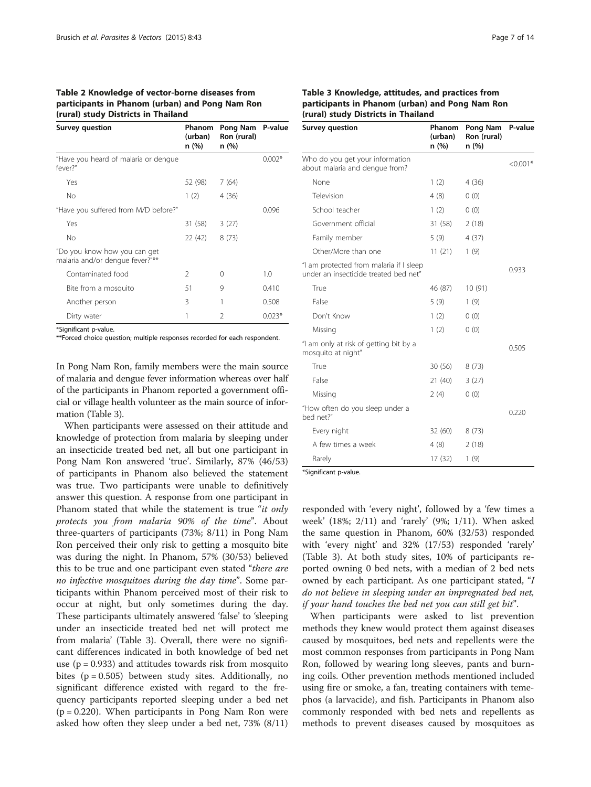#### <span id="page-6-0"></span>Table 2 Knowledge of vector-borne diseases from participants in Phanom (urban) and Pong Nam Ron (rural) study Districts in Thailand

| <b>Survey question</b>                                          | Phanom<br>(urban)<br>n (%) | Pong Nam P-value<br>Ron (rural)<br>n (%) |          |
|-----------------------------------------------------------------|----------------------------|------------------------------------------|----------|
| "Have you heard of malaria or dengue<br>fever?"                 |                            |                                          | $0.002*$ |
| Yes                                                             | 52 (98)                    | 7(64)                                    |          |
| No                                                              | 1(2)                       | 4(36)                                    |          |
| "Have you suffered from M/D before?"                            |                            |                                          | 0.096    |
| Yes                                                             | 31 (58)                    | 3(27)                                    |          |
| Nο                                                              | 22 (42)                    | 8(73)                                    |          |
| "Do you know how you can get<br>malaria and/or dengue fever?"** |                            |                                          |          |
| Contaminated food                                               | 2                          | 0                                        | 1.0      |
| Bite from a mosquito                                            | 51                         | 9                                        | 0.410    |
| Another person                                                  | 3                          | 1                                        | 0.508    |
| Dirty water                                                     | 1                          | 2                                        | $0.023*$ |

\*Significant p-value.

\*\*Forced choice question; multiple responses recorded for each respondent.

In Pong Nam Ron, family members were the main source of malaria and dengue fever information whereas over half of the participants in Phanom reported a government official or village health volunteer as the main source of information (Table 3).

When participants were assessed on their attitude and knowledge of protection from malaria by sleeping under an insecticide treated bed net, all but one participant in Pong Nam Ron answered 'true'. Similarly, 87% (46/53) of participants in Phanom also believed the statement was true. Two participants were unable to definitively answer this question. A response from one participant in Phanom stated that while the statement is true "it only protects you from malaria 90% of the time". About three-quarters of participants (73%; 8/11) in Pong Nam Ron perceived their only risk to getting a mosquito bite was during the night. In Phanom, 57% (30/53) believed this to be true and one participant even stated "*there are* no infective mosquitoes during the day time". Some participants within Phanom perceived most of their risk to occur at night, but only sometimes during the day. These participants ultimately answered 'false' to 'sleeping under an insecticide treated bed net will protect me from malaria' (Table 3). Overall, there were no significant differences indicated in both knowledge of bed net use  $(p = 0.933)$  and attitudes towards risk from mosquito bites  $(p = 0.505)$  between study sites. Additionally, no significant difference existed with regard to the frequency participants reported sleeping under a bed net  $(p = 0.220)$ . When participants in Pong Nam Ron were asked how often they sleep under a bed net, 73% (8/11)

# Table 3 Knowledge, attitudes, and practices from participants in Phanom (urban) and Pong Nam Ron (rural) study Districts in Thailand

| <b>Survey question</b>                                                           | Phanom<br>(urban)<br>n (%) | Pong Nam<br>Ron (rural)<br>n (%) | P-value    |
|----------------------------------------------------------------------------------|----------------------------|----------------------------------|------------|
| Who do you get your information<br>about malaria and dengue from?                |                            |                                  | $< 0.001*$ |
| None                                                                             | 1(2)                       | 4(36)                            |            |
| Television                                                                       | 4(8)                       | 0(0)                             |            |
| School teacher                                                                   | 1(2)                       | 0(0)                             |            |
| Government official                                                              | 31 (58)                    | 2(18)                            |            |
| Family member                                                                    | 5(9)                       | 4(37)                            |            |
| Other/More than one                                                              | 11(21)                     | 1(9)                             |            |
| "I am protected from malaria if I sleep<br>under an insecticide treated bed net" |                            |                                  | 0.933      |
| True                                                                             | 46 (87)                    | 10(91)                           |            |
| False                                                                            | 5(9)                       | 1(9)                             |            |
| Don't Know                                                                       | 1(2)                       | 0(0)                             |            |
| Missing                                                                          | 1(2)                       | 0(0)                             |            |
| "I am only at risk of getting bit by a<br>mosquito at night"                     |                            |                                  | 0.505      |
| True                                                                             | 30(56)                     | 8(73)                            |            |
| False                                                                            | 21(40)                     | 3(27)                            |            |
| Missing                                                                          | 2(4)                       | 0(0)                             |            |
| "How often do you sleep under a<br>bed net?"                                     |                            |                                  | 0.220      |
| Every night                                                                      | 32 (60)                    | 8(73)                            |            |
| A few times a week                                                               | 4(8)                       | 2(18)                            |            |
| Rarely                                                                           | 17 (32)                    | 1(9)                             |            |

\*Significant p-value.

responded with 'every night', followed by a 'few times a week' (18%; 2/11) and 'rarely' (9%; 1/11). When asked the same question in Phanom, 60% (32/53) responded with 'every night' and 32% (17/53) responded 'rarely' (Table 3). At both study sites, 10% of participants reported owning 0 bed nets, with a median of 2 bed nets owned by each participant. As one participant stated, "I do not believe in sleeping under an impregnated bed net, if your hand touches the bed net you can still get bit".

When participants were asked to list prevention methods they knew would protect them against diseases caused by mosquitoes, bed nets and repellents were the most common responses from participants in Pong Nam Ron, followed by wearing long sleeves, pants and burning coils. Other prevention methods mentioned included using fire or smoke, a fan, treating containers with temephos (a larvacide), and fish. Participants in Phanom also commonly responded with bed nets and repellents as methods to prevent diseases caused by mosquitoes as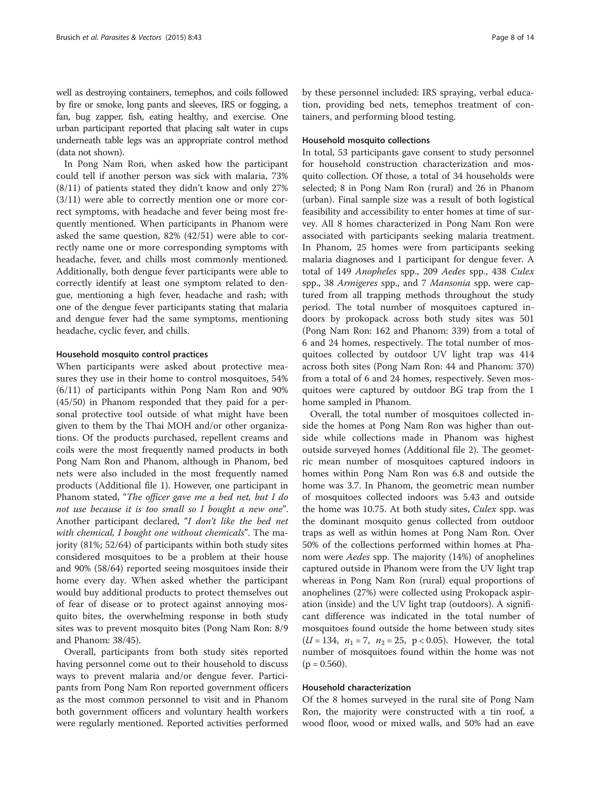well as destroying containers, temephos, and coils followed by fire or smoke, long pants and sleeves, IRS or fogging, a fan, bug zapper, fish, eating healthy, and exercise. One urban participant reported that placing salt water in cups underneath table legs was an appropriate control method (data not shown).

In Pong Nam Ron, when asked how the participant could tell if another person was sick with malaria, 73% (8/11) of patients stated they didn't know and only 27% (3/11) were able to correctly mention one or more correct symptoms, with headache and fever being most frequently mentioned. When participants in Phanom were asked the same question, 82% (42/51) were able to correctly name one or more corresponding symptoms with headache, fever, and chills most commonly mentioned. Additionally, both dengue fever participants were able to correctly identify at least one symptom related to dengue, mentioning a high fever, headache and rash; with one of the dengue fever participants stating that malaria and dengue fever had the same symptoms, mentioning headache, cyclic fever, and chills.

#### Household mosquito control practices

When participants were asked about protective measures they use in their home to control mosquitoes, 54% (6/11) of participants within Pong Nam Ron and 90% (45/50) in Phanom responded that they paid for a personal protective tool outside of what might have been given to them by the Thai MOH and/or other organizations. Of the products purchased, repellent creams and coils were the most frequently named products in both Pong Nam Ron and Phanom, although in Phanom, bed nets were also included in the most frequently named products (Additional file [1\)](#page-12-0). However, one participant in Phanom stated, "The officer gave me a bed net, but I do not use because it is too small so I bought a new one". Another participant declared, "I don't like the bed net with chemical, I bought one without chemicals". The majority (81%; 52/64) of participants within both study sites considered mosquitoes to be a problem at their house and 90% (58/64) reported seeing mosquitoes inside their home every day. When asked whether the participant would buy additional products to protect themselves out of fear of disease or to protect against annoying mosquito bites, the overwhelming response in both study sites was to prevent mosquito bites (Pong Nam Ron: 8/9 and Phanom: 38/45).

Overall, participants from both study sites reported having personnel come out to their household to discuss ways to prevent malaria and/or dengue fever. Participants from Pong Nam Ron reported government officers as the most common personnel to visit and in Phanom both government officers and voluntary health workers were regularly mentioned. Reported activities performed by these personnel included: IRS spraying, verbal education, providing bed nets, temephos treatment of containers, and performing blood testing.

#### Household mosquito collections

In total, 53 participants gave consent to study personnel for household construction characterization and mosquito collection. Of those, a total of 34 households were selected; 8 in Pong Nam Ron (rural) and 26 in Phanom (urban). Final sample size was a result of both logistical feasibility and accessibility to enter homes at time of survey. All 8 homes characterized in Pong Nam Ron were associated with participants seeking malaria treatment. In Phanom, 25 homes were from participants seeking malaria diagnoses and 1 participant for dengue fever. A total of 149 Anopheles spp., 209 Aedes spp., 438 Culex spp., 38 Armigeres spp., and 7 Mansonia spp. were captured from all trapping methods throughout the study period. The total number of mosquitoes captured indoors by prokopack across both study sites was 501 (Pong Nam Ron: 162 and Phanom: 339) from a total of 6 and 24 homes, respectively. The total number of mosquitoes collected by outdoor UV light trap was 414 across both sites (Pong Nam Ron: 44 and Phanom: 370) from a total of 6 and 24 homes, respectively. Seven mosquitoes were captured by outdoor BG trap from the 1 home sampled in Phanom.

Overall, the total number of mosquitoes collected inside the homes at Pong Nam Ron was higher than outside while collections made in Phanom was highest outside surveyed homes (Additional file [2](#page-12-0)). The geometric mean number of mosquitoes captured indoors in homes within Pong Nam Ron was 6.8 and outside the home was 3.7. In Phanom, the geometric mean number of mosquitoes collected indoors was 5.43 and outside the home was 10.75. At both study sites, Culex spp. was the dominant mosquito genus collected from outdoor traps as well as within homes at Pong Nam Ron. Over 50% of the collections performed within homes at Phanom were *Aedes* spp. The majority (14%) of anophelines captured outside in Phanom were from the UV light trap whereas in Pong Nam Ron (rural) equal proportions of anophelines (27%) were collected using Prokopack aspiration (inside) and the UV light trap (outdoors). A significant difference was indicated in the total number of mosquitoes found outside the home between study sites ( $U = 134$ ,  $n_1 = 7$ ,  $n_2 = 25$ , p < 0.05). However, the total number of mosquitoes found within the home was not  $(p = 0.560)$ .

#### Household characterization

Of the 8 homes surveyed in the rural site of Pong Nam Ron, the majority were constructed with a tin roof, a wood floor, wood or mixed walls, and 50% had an eave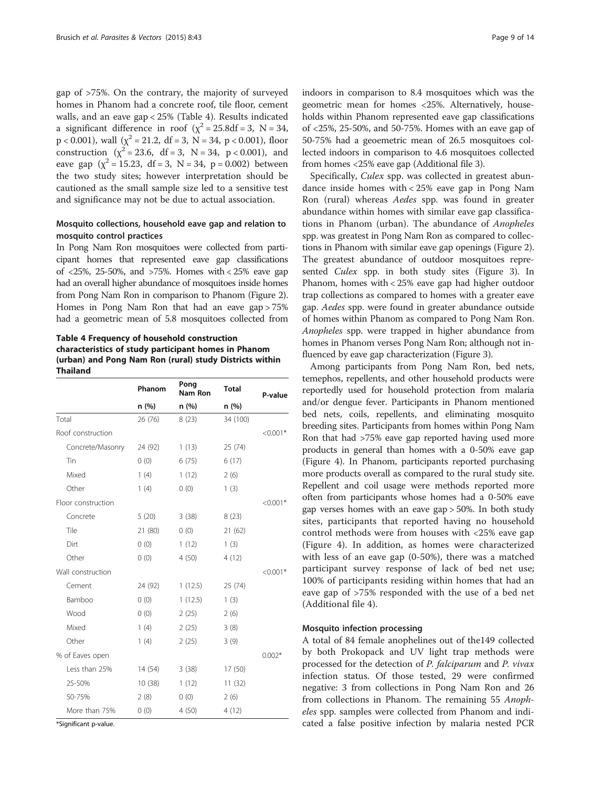gap of >75%. On the contrary, the majority of surveyed homes in Phanom had a concrete roof, tile floor, cement walls, and an eave gap < 25% (Table 4). Results indicated a significant difference in roof ( $\chi^2$  = 25.8df = 3, N = 34,  $p < 0.001$ ), wall  $(\chi^2 = 21.2, df = 3, N = 34, p < 0.001)$ , floor construction  $(\chi^2 = 23.6, df = 3, N = 34, p < 0.001)$ , and eave gap  $(\chi^2 = 15.23, df = 3, N = 34, p = 0.002)$  between the two study sites; however interpretation should be cautioned as the small sample size led to a sensitive test and significance may not be due to actual association.

# Mosquito collections, household eave gap and relation to mosquito control practices

In Pong Nam Ron mosquitoes were collected from participant homes that represented eave gap classifications of <25%, 25-50%, and >75%. Homes with < 25% eave gap had an overall higher abundance of mosquitoes inside homes from Pong Nam Ron in comparison to Phanom (Figure [2](#page-9-0)). Homes in Pong Nam Ron that had an eave gap > 75% had a geometric mean of 5.8 mosquitoes collected from

Table 4 Frequency of household construction characteristics of study participant homes in Phanom (urban) and Pong Nam Ron (rural) study Districts within Thailand

|                    | Pong<br>Phanom<br>Nam Ron | <b>Total</b> | P-value  |            |
|--------------------|---------------------------|--------------|----------|------------|
|                    | n (%)                     | n (%)        | n (%)    |            |
| Total              | 26 (76)                   | 8(23)        | 34 (100) |            |
| Roof construction  |                           |              |          | $< 0.001*$ |
| Concrete/Masonry   | 24 (92)                   | 1(13)        | 25 (74)  |            |
| Tin                | 0(0)                      | 6(75)        | 6(17)    |            |
| Mixed              | 1(4)                      | 1(12)        | 2(6)     |            |
| Other              | 1(4)                      | 0(0)         | 1(3)     |            |
| Floor construction |                           |              |          | $< 0.001*$ |
| Concrete           | 5(20)                     | 3(38)        | 8(23)    |            |
| Tile               | 21 (80)                   | 0(0)         | 21(62)   |            |
| Dirt               | 0(0)                      | 1(12)        | 1(3)     |            |
| Other              | 0(0)                      | 4(50)        | 4(12)    |            |
| Wall construction  |                           |              |          | $< 0.001*$ |
| Cement             | 24 (92)                   | 1(12.5)      | 25(74)   |            |
| Bamboo             | 0(0)                      | 1(12.5)      | 1(3)     |            |
| Wood               | 0(0)                      | 2(25)        | 2(6)     |            |
| Mixed              | 1(4)                      | 2(25)        | 3(8)     |            |
| Other              | 1(4)                      | 2(25)        | 3(9)     |            |
| % of Eaves open    |                           |              |          | $0.002*$   |
| Less than 25%      | 14 (54)                   | 3(38)        | 17 (50)  |            |
| 25-50%             | 10 (38)                   | 1(12)        | 11(32)   |            |
| 50-75%             | 2(8)                      | 0(0)         | 2(6)     |            |
| More than 75%      | 0(0)                      | 4(50)        | 4(12)    |            |

\*Significant p-value.

indoors in comparison to 8.4 mosquitoes which was the geometric mean for homes <25%. Alternatively, households within Phanom represented eave gap classifications of <25%, 25-50%, and 50-75%. Homes with an eave gap of 50-75% had a geoemetric mean of 26.5 mosquitoes collected indoors in comparison to 4.6 mosquitoes collected from homes <25% eave gap (Additional file [3\)](#page-12-0).

Specifically, Culex spp. was collected in greatest abundance inside homes with < 25% eave gap in Pong Nam Ron (rural) whereas Aedes spp. was found in greater abundance within homes with similar eave gap classifications in Phanom (urban). The abundance of Anopheles spp. was greatest in Pong Nam Ron as compared to collections in Phanom with similar eave gap openings (Figure [2](#page-9-0)). The greatest abundance of outdoor mosquitoes repre-sented Culex spp. in both study sites (Figure [3\)](#page-9-0). In Phanom, homes with < 25% eave gap had higher outdoor trap collections as compared to homes with a greater eave gap. Aedes spp. were found in greater abundance outside of homes within Phanom as compared to Pong Nam Ron. Anopheles spp. were trapped in higher abundance from homes in Phanom verses Pong Nam Ron; although not influenced by eave gap characterization (Figure [3\)](#page-9-0).

Among participants from Pong Nam Ron, bed nets, temephos, repellents, and other household products were reportedly used for household protection from malaria and/or dengue fever. Participants in Phanom mentioned bed nets, coils, repellents, and eliminating mosquito breeding sites. Participants from homes within Pong Nam Ron that had >75% eave gap reported having used more products in general than homes with a 0-50% eave gap (Figure [4](#page-10-0)). In Phanom, participants reported purchasing more products overall as compared to the rural study site. Repellent and coil usage were methods reported more often from participants whose homes had a 0-50% eave gap verses homes with an eave gap > 50%. In both study sites, participants that reported having no household control methods were from houses with <25% eave gap (Figure [4\)](#page-10-0). In addition, as homes were characterized with less of an eave gap (0-50%), there was a matched participant survey response of lack of bed net use; 100% of participants residing within homes that had an eave gap of >75% responded with the use of a bed net (Additional file [4](#page-12-0)).

# Mosquito infection processing

A total of 84 female anophelines out of the149 collected by both Prokopack and UV light trap methods were processed for the detection of P. falciparum and P. vivax infection status. Of those tested, 29 were confirmed negative: 3 from collections in Pong Nam Ron and 26 from collections in Phanom. The remaining 55 Anopheles spp. samples were collected from Phanom and indicated a false positive infection by malaria nested PCR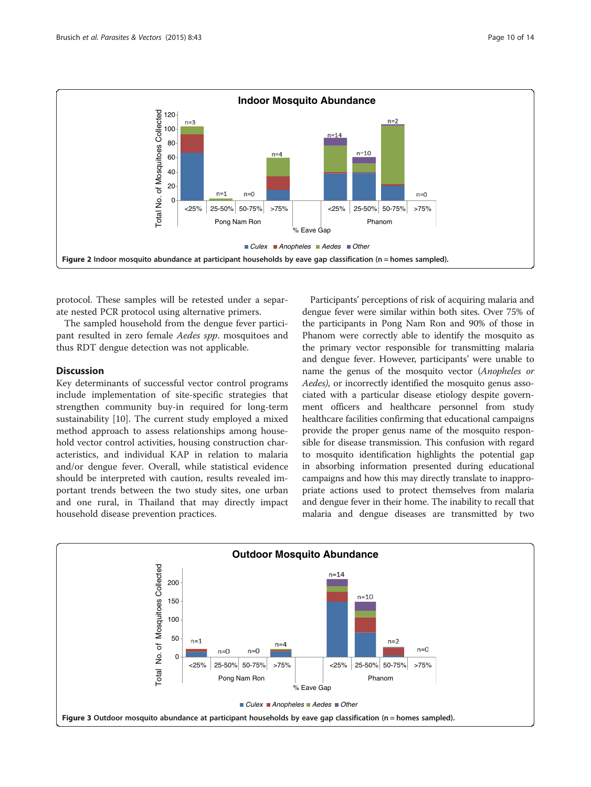<span id="page-9-0"></span>

protocol. These samples will be retested under a separate nested PCR protocol using alternative primers.

The sampled household from the dengue fever participant resulted in zero female Aedes spp. mosquitoes and thus RDT dengue detection was not applicable.

#### **Discussion**

Key determinants of successful vector control programs include implementation of site-specific strategies that strengthen community buy-in required for long-term sustainability [[10](#page-13-0)]. The current study employed a mixed method approach to assess relationships among household vector control activities, housing construction characteristics, and individual KAP in relation to malaria and/or dengue fever. Overall, while statistical evidence should be interpreted with caution, results revealed important trends between the two study sites, one urban and one rural, in Thailand that may directly impact household disease prevention practices.

Participants' perceptions of risk of acquiring malaria and dengue fever were similar within both sites. Over 75% of the participants in Pong Nam Ron and 90% of those in Phanom were correctly able to identify the mosquito as the primary vector responsible for transmitting malaria and dengue fever. However, participants' were unable to name the genus of the mosquito vector (Anopheles or Aedes), or incorrectly identified the mosquito genus associated with a particular disease etiology despite government officers and healthcare personnel from study healthcare facilities confirming that educational campaigns provide the proper genus name of the mosquito responsible for disease transmission. This confusion with regard to mosquito identification highlights the potential gap in absorbing information presented during educational campaigns and how this may directly translate to inappropriate actions used to protect themselves from malaria and dengue fever in their home. The inability to recall that malaria and dengue diseases are transmitted by two

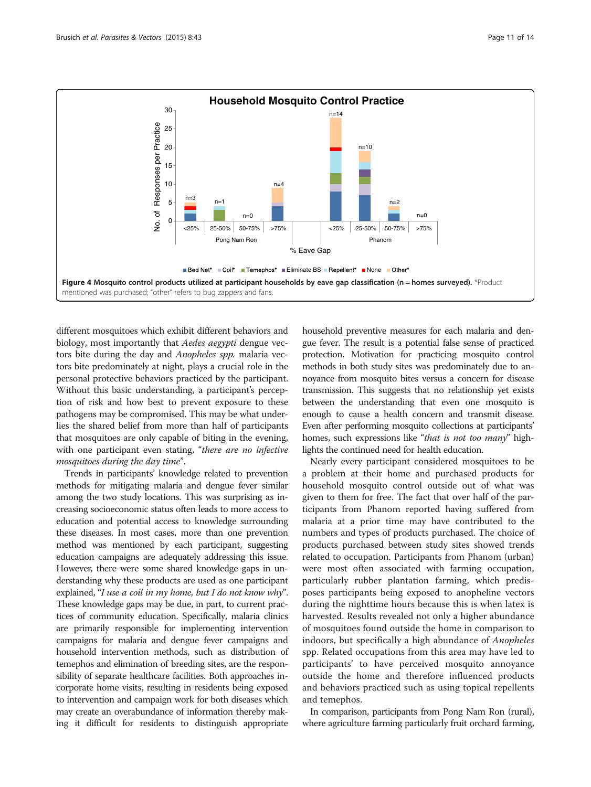<span id="page-10-0"></span>

different mosquitoes which exhibit different behaviors and biology, most importantly that Aedes aegypti dengue vectors bite during the day and Anopheles spp. malaria vectors bite predominately at night, plays a crucial role in the personal protective behaviors practiced by the participant. Without this basic understanding, a participant's perception of risk and how best to prevent exposure to these pathogens may be compromised. This may be what underlies the shared belief from more than half of participants that mosquitoes are only capable of biting in the evening, with one participant even stating, "there are no infective mosquitoes during the day time".

Trends in participants' knowledge related to prevention methods for mitigating malaria and dengue fever similar among the two study locations. This was surprising as increasing socioeconomic status often leads to more access to education and potential access to knowledge surrounding these diseases. In most cases, more than one prevention method was mentioned by each participant, suggesting education campaigns are adequately addressing this issue. However, there were some shared knowledge gaps in understanding why these products are used as one participant explained, "I use a coil in my home, but I do not know why". These knowledge gaps may be due, in part, to current practices of community education. Specifically, malaria clinics are primarily responsible for implementing intervention campaigns for malaria and dengue fever campaigns and household intervention methods, such as distribution of temephos and elimination of breeding sites, are the responsibility of separate healthcare facilities. Both approaches incorporate home visits, resulting in residents being exposed to intervention and campaign work for both diseases which may create an overabundance of information thereby making it difficult for residents to distinguish appropriate

household preventive measures for each malaria and dengue fever. The result is a potential false sense of practiced protection. Motivation for practicing mosquito control methods in both study sites was predominately due to annoyance from mosquito bites versus a concern for disease transmission. This suggests that no relationship yet exists between the understanding that even one mosquito is enough to cause a health concern and transmit disease. Even after performing mosquito collections at participants' homes, such expressions like "*that is not too many*" highlights the continued need for health education.

Nearly every participant considered mosquitoes to be a problem at their home and purchased products for household mosquito control outside out of what was given to them for free. The fact that over half of the participants from Phanom reported having suffered from malaria at a prior time may have contributed to the numbers and types of products purchased. The choice of products purchased between study sites showed trends related to occupation. Participants from Phanom (urban) were most often associated with farming occupation, particularly rubber plantation farming, which predisposes participants being exposed to anopheline vectors during the nighttime hours because this is when latex is harvested. Results revealed not only a higher abundance of mosquitoes found outside the home in comparison to indoors, but specifically a high abundance of Anopheles spp. Related occupations from this area may have led to participants' to have perceived mosquito annoyance outside the home and therefore influenced products and behaviors practiced such as using topical repellents and temephos.

In comparison, participants from Pong Nam Ron (rural), where agriculture farming particularly fruit orchard farming,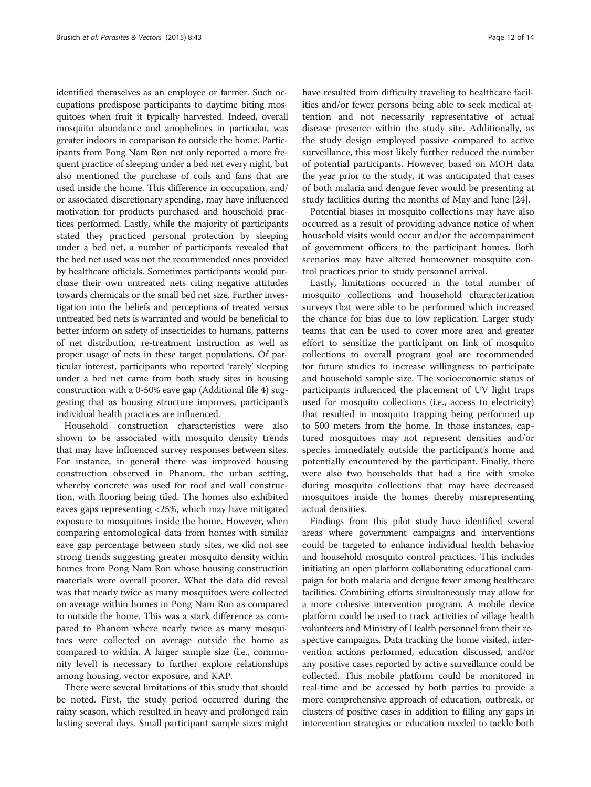identified themselves as an employee or farmer. Such occupations predispose participants to daytime biting mosquitoes when fruit it typically harvested. Indeed, overall mosquito abundance and anophelines in particular, was greater indoors in comparison to outside the home. Participants from Pong Nam Ron not only reported a more frequent practice of sleeping under a bed net every night, but also mentioned the purchase of coils and fans that are used inside the home. This difference in occupation, and/ or associated discretionary spending, may have influenced motivation for products purchased and household practices performed. Lastly, while the majority of participants stated they practiced personal protection by sleeping under a bed net, a number of participants revealed that the bed net used was not the recommended ones provided by healthcare officials. Sometimes participants would purchase their own untreated nets citing negative attitudes towards chemicals or the small bed net size. Further investigation into the beliefs and perceptions of treated versus untreated bed nets is warranted and would be beneficial to better inform on safety of insecticides to humans, patterns of net distribution, re-treatment instruction as well as proper usage of nets in these target populations. Of particular interest, participants who reported 'rarely' sleeping under a bed net came from both study sites in housing construction with a 0-50% eave gap (Additional file [4\)](#page-12-0) suggesting that as housing structure improves, participant's individual health practices are influenced.

Household construction characteristics were also shown to be associated with mosquito density trends that may have influenced survey responses between sites. For instance, in general there was improved housing construction observed in Phanom, the urban setting, whereby concrete was used for roof and wall construction, with flooring being tiled. The homes also exhibited eaves gaps representing <25%, which may have mitigated exposure to mosquitoes inside the home. However, when comparing entomological data from homes with similar eave gap percentage between study sites, we did not see strong trends suggesting greater mosquito density within homes from Pong Nam Ron whose housing construction materials were overall poorer. What the data did reveal was that nearly twice as many mosquitoes were collected on average within homes in Pong Nam Ron as compared to outside the home. This was a stark difference as compared to Phanom where nearly twice as many mosquitoes were collected on average outside the home as compared to within. A larger sample size (i.e., community level) is necessary to further explore relationships among housing, vector exposure, and KAP.

There were several limitations of this study that should be noted. First, the study period occurred during the rainy season, which resulted in heavy and prolonged rain lasting several days. Small participant sample sizes might have resulted from difficulty traveling to healthcare facilities and/or fewer persons being able to seek medical attention and not necessarily representative of actual disease presence within the study site. Additionally, as the study design employed passive compared to active surveillance, this most likely further reduced the number of potential participants. However, based on MOH data the year prior to the study, it was anticipated that cases of both malaria and dengue fever would be presenting at study facilities during the months of May and June [\[24](#page-13-0)].

Potential biases in mosquito collections may have also occurred as a result of providing advance notice of when household visits would occur and/or the accompaniment of government officers to the participant homes. Both scenarios may have altered homeowner mosquito control practices prior to study personnel arrival.

Lastly, limitations occurred in the total number of mosquito collections and household characterization surveys that were able to be performed which increased the chance for bias due to low replication. Larger study teams that can be used to cover more area and greater effort to sensitize the participant on link of mosquito collections to overall program goal are recommended for future studies to increase willingness to participate and household sample size. The socioeconomic status of participants influenced the placement of UV light traps used for mosquito collections (i.e., access to electricity) that resulted in mosquito trapping being performed up to 500 meters from the home. In those instances, captured mosquitoes may not represent densities and/or species immediately outside the participant's home and potentially encountered by the participant. Finally, there were also two households that had a fire with smoke during mosquito collections that may have decreased mosquitoes inside the homes thereby misrepresenting actual densities.

Findings from this pilot study have identified several areas where government campaigns and interventions could be targeted to enhance individual health behavior and household mosquito control practices. This includes initiating an open platform collaborating educational campaign for both malaria and dengue fever among healthcare facilities. Combining efforts simultaneously may allow for a more cohesive intervention program. A mobile device platform could be used to track activities of village health volunteers and Ministry of Health personnel from their respective campaigns. Data tracking the home visited, intervention actions performed, education discussed, and/or any positive cases reported by active surveillance could be collected. This mobile platform could be monitored in real-time and be accessed by both parties to provide a more comprehensive approach of education, outbreak, or clusters of positive cases in addition to filling any gaps in intervention strategies or education needed to tackle both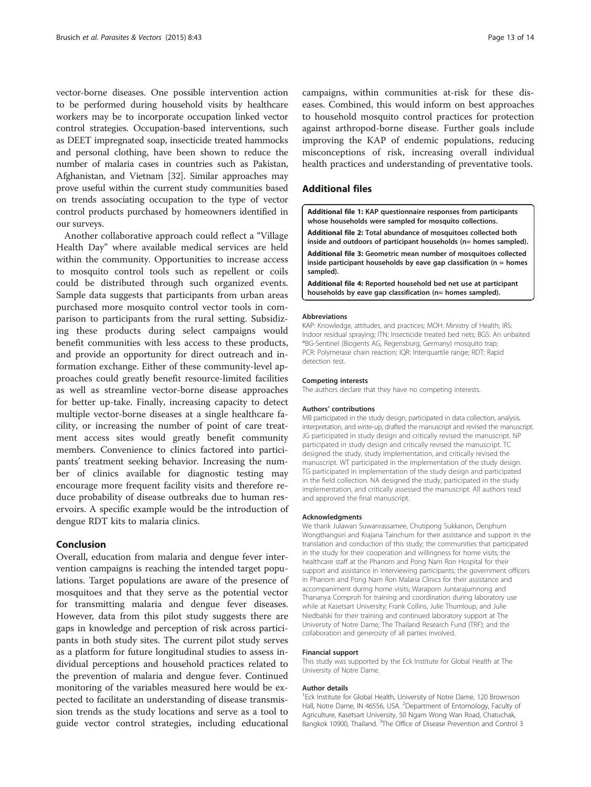<span id="page-12-0"></span>vector-borne diseases. One possible intervention action to be performed during household visits by healthcare workers may be to incorporate occupation linked vector control strategies. Occupation-based interventions, such as DEET impregnated soap, insecticide treated hammocks and personal clothing, have been shown to reduce the number of malaria cases in countries such as Pakistan, Afghanistan, and Vietnam [\[32\]](#page-13-0). Similar approaches may prove useful within the current study communities based on trends associating occupation to the type of vector control products purchased by homeowners identified in our surveys.

Another collaborative approach could reflect a "Village Health Day" where available medical services are held within the community. Opportunities to increase access to mosquito control tools such as repellent or coils could be distributed through such organized events. Sample data suggests that participants from urban areas purchased more mosquito control vector tools in comparison to participants from the rural setting. Subsidizing these products during select campaigns would benefit communities with less access to these products, and provide an opportunity for direct outreach and information exchange. Either of these community-level approaches could greatly benefit resource-limited facilities as well as streamline vector-borne disease approaches for better up-take. Finally, increasing capacity to detect multiple vector-borne diseases at a single healthcare facility, or increasing the number of point of care treatment access sites would greatly benefit community members. Convenience to clinics factored into participants' treatment seeking behavior. Increasing the number of clinics available for diagnostic testing may encourage more frequent facility visits and therefore reduce probability of disease outbreaks due to human reservoirs. A specific example would be the introduction of dengue RDT kits to malaria clinics.

#### Conclusion

Overall, education from malaria and dengue fever intervention campaigns is reaching the intended target populations. Target populations are aware of the presence of mosquitoes and that they serve as the potential vector for transmitting malaria and dengue fever diseases. However, data from this pilot study suggests there are gaps in knowledge and perception of risk across participants in both study sites. The current pilot study serves as a platform for future longitudinal studies to assess individual perceptions and household practices related to the prevention of malaria and dengue fever. Continued monitoring of the variables measured here would be expected to facilitate an understanding of disease transmission trends as the study locations and serve as a tool to guide vector control strategies, including educational

campaigns, within communities at-risk for these diseases. Combined, this would inform on best approaches to household mosquito control practices for protection against arthropod-borne disease. Further goals include improving the KAP of endemic populations, reducing misconceptions of risk, increasing overall individual health practices and understanding of preventative tools.

#### Additional files

[Additional file 1:](http://www.parasitesandvectors.com/content/supplementary/s13071-015-0653-4-s1.pdf) KAP questionnaire responses from participants whose households were sampled for mosquito collections.

[Additional file 2:](http://www.parasitesandvectors.com/content/supplementary/s13071-015-0653-4-s2.pdf) Total abundance of mosquitoes collected both inside and outdoors of participant households (n= homes sampled). [Additional file 3:](http://www.parasitesandvectors.com/content/supplementary/s13071-015-0653-4-s3.pdf) Geometric mean number of mosquitoes collected

inside participant households by eave gap classification ( $n =$  homes sampled).

[Additional file 4:](http://www.parasitesandvectors.com/content/supplementary/s13071-015-0653-4-s4.pdf) Reported household bed net use at participant households by eave gap classification (n= homes sampled).

#### Abbreviations

KAP: Knowledge, attitudes, and practices; MOH: Ministry of Health; IRS: Indoor residual spraying; ITN: Insecticide treated bed nets; BGS: An unbaited ®BG-Sentinel (Biogents AG, Regensburg, Germany) mosquito trap; PCR: Polymerase chain reaction; IQR: Interquartile range; RDT: Rapid detection test.

#### Competing interests

The authors declare that they have no competing interests.

#### Authors' contributions

MB participated in the study design, participated in data collection, analysis, interpretation, and write-up, drafted the manuscript and revised the manuscript. JG participated in study design and critically revised the manuscript. NP participated in study design and critically revised the manuscript. TC designed the study, study implementation, and critically revised the manuscript. WT participated in the implementation of the study design. TG participated in implementation of the study design and participated in the field collection. NA designed the study, participated in the study implementation, and critically assessed the manuscript. All authors read and approved the final manuscript.

#### Acknowledgments

We thank Julawan Suwanrassamee, Chutipong Sukkanon, Denphum Wongthangsiri and Krajana Tainchum for their assistance and support in the translation and conduction of this study; the communities that participated in the study for their cooperation and willingness for home visits; the healthcare staff at the Phanom and Pong Nam Ron Hospital for their support and assistance in interviewing participants; the government officers in Phanom and Pong Nam Ron Malaria Clinics for their assistance and accompaniment during home visits; Waraporn Juntarajumnong and Thananya Comproh for training and coordination during laboratory use while at Kasetsart University; Frank Collins, Julie Thumloup, and Julie Niedbalski for their training and continued laboratory support at The University of Notre Dame; The Thailand Research Fund (TRF); and the collaboration and generosity of all parties involved.

#### Financial support

This study was supported by the Eck Institute for Global Health at The University of Notre Dame.

#### Author details

<sup>1</sup> Eck Institute for Global Health, University of Notre Dame, 120 Brownson Hall, Notre Dame, IN 46556, USA. <sup>2</sup>Department of Entomology, Faculty of Agriculture, Kasetsart University, 50 Ngam Wong Wan Road, Chatuchak, Bangkok 10900, Thailand. <sup>3</sup>The Office of Disease Prevention and Control 3